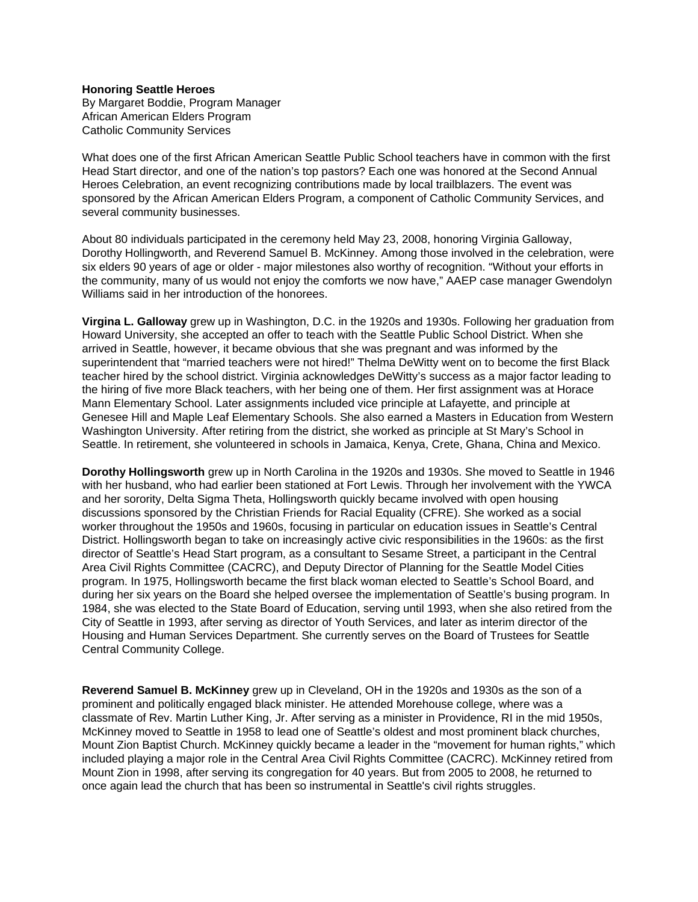## **Honoring Seattle Heroes**

By Margaret Boddie, Program Manager African American Elders Program Catholic Community Services

What does one of the first African American Seattle Public School teachers have in common with the first Head Start director, and one of the nation's top pastors? Each one was honored at the Second Annual Heroes Celebration, an event recognizing contributions made by local trailblazers. The event was sponsored by the African American Elders Program, a component of Catholic Community Services, and several community businesses.

About 80 individuals participated in the ceremony held May 23, 2008, honoring Virginia Galloway, Dorothy Hollingworth, and Reverend Samuel B. McKinney. Among those involved in the celebration, were six elders 90 years of age or older - major milestones also worthy of recognition. "Without your efforts in the community, many of us would not enjoy the comforts we now have," AAEP case manager Gwendolyn Williams said in her introduction of the honorees.

**Virgina L. Galloway** grew up in Washington, D.C. in the 1920s and 1930s. Following her graduation from Howard University, she accepted an offer to teach with the Seattle Public School District. When she arrived in Seattle, however, it became obvious that she was pregnant and was informed by the superintendent that "married teachers were not hired!" Thelma DeWitty went on to become the first Black teacher hired by the school district. Virginia acknowledges DeWitty's success as a major factor leading to the hiring of five more Black teachers, with her being one of them. Her first assignment was at Horace Mann Elementary School. Later assignments included vice principle at Lafayette, and principle at Genesee Hill and Maple Leaf Elementary Schools. She also earned a Masters in Education from Western Washington University. After retiring from the district, she worked as principle at St Mary's School in Seattle. In retirement, she volunteered in schools in Jamaica, Kenya, Crete, Ghana, China and Mexico.

**Dorothy Hollingsworth** grew up in North Carolina in the 1920s and 1930s. She moved to Seattle in 1946 with her husband, who had earlier been stationed at Fort Lewis. Through her involvement with the YWCA and her sorority, Delta Sigma Theta, Hollingsworth quickly became involved with open housing discussions sponsored by the Christian Friends for Racial Equality (CFRE). She worked as a social worker throughout the 1950s and 1960s, focusing in particular on education issues in Seattle's Central District. Hollingsworth began to take on increasingly active civic responsibilities in the 1960s: as the first director of Seattle's Head Start program, as a consultant to Sesame Street, a participant in the Central Area Civil Rights Committee (CACRC), and Deputy Director of Planning for the Seattle Model Cities program. In 1975, Hollingsworth became the first black woman elected to Seattle's School Board, and during her six years on the Board she helped oversee the implementation of Seattle's busing program. In 1984, she was elected to the State Board of Education, serving until 1993, when she also retired from the City of Seattle in 1993, after serving as director of Youth Services, and later as interim director of the Housing and Human Services Department. She currently serves on the Board of Trustees for Seattle Central Community College.

**Reverend Samuel B. McKinney** grew up in Cleveland, OH in the 1920s and 1930s as the son of a prominent and politically engaged black minister. He attended Morehouse college, where was a classmate of Rev. Martin Luther King, Jr. After serving as a minister in Providence, RI in the mid 1950s, McKinney moved to Seattle in 1958 to lead one of Seattle's oldest and most prominent black churches, Mount Zion Baptist Church. McKinney quickly became a leader in the "movement for human rights," which included playing a major role in the Central Area Civil Rights Committee (CACRC). McKinney retired from Mount Zion in 1998, after serving its congregation for 40 years. But from 2005 to 2008, he returned to once again lead the church that has been so instrumental in Seattle's civil rights struggles.